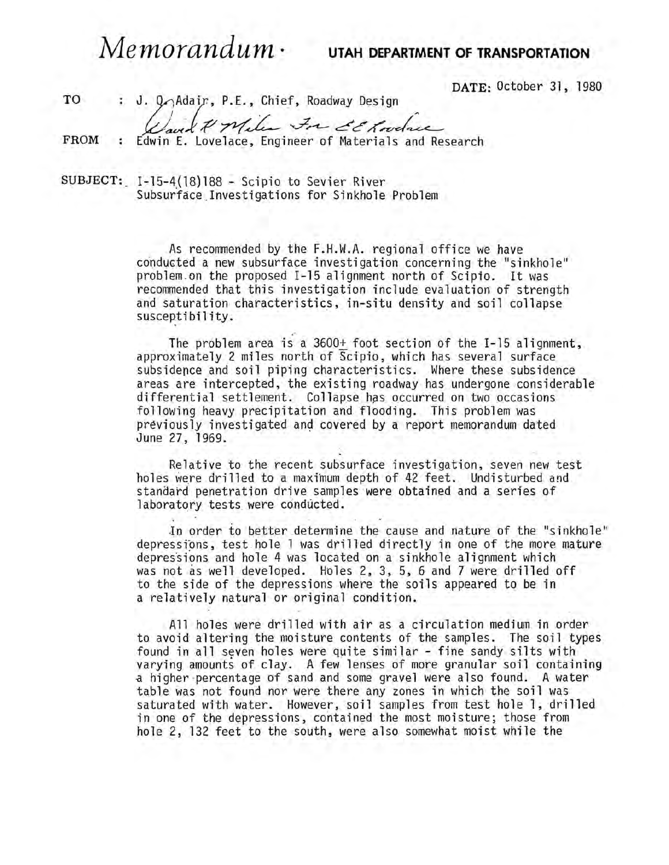*Memorandum·* **UTAH DEPARTMENT OF TRANSPORTATION** 

DATE: October 31, 1980

TO FROM : J. Q Adair, P.E., Chief, Roadway Design (Said & Meles For de Conselace): Edwin E. Lovelace, Engineer of Materials and Research

SUBJECT: 1-15-4(18)188 ~ Scipio to Sevier River Subsurface Investigations for Sinkhole Problem

> As recommended by the F.H.W.A. regional office we have conducted a new subsurface investigation concerning the "sinkhole" prob1em.on the proposed 1-15 alignment north of Scipio. It was recommended that this investigation include evaluation of strength and saturation characteristics, in~situ density and soil collapse susceptibil ity.

The problem area is a 3600+ foot section of the 1-15 alignment, approximately 2 miles north of Scipio, which has several surface subsidence and soil piping characteristics. Where these subsidence areas are intercepted, the existing roadway has undergone considerable differential settlement. Collapse has occurred on two occasions following heavy precipitation and flooding. This problem was previously investigated and covered by a report memorandum dated June 27, 1969.

Relative to the recent subsurface investigation, seven new test holes were drilled to a maximum depth of 42 feet. Undisturbed and standard penetration drive samples were obtained and a series of laboratory tests were conducted.

.In order to better determine the cause and nature of the "sinkhole" depressions, test hole 1 was drilled directly in one of the more mature depressions and hole 4 was located on a sinkhole alignment which was not as well developed. Holes 2, 3, 5, 6 and 7 were drilled off to the side of the depressions where the soils appeared to be in a relatively natural or original condition.

All holes were drilled with air as a circulation medium in order to avoid altering the moisture contents of the samples. The soil types found in all seven holes were quite similar - fine sandy silts with varying amounts of clay. A few lenses of more granular soil containing -a higher percentage of sand and some gravel were also found. A water table was not found nor were there any zones in which the soil was saturated with water. However, soil samples from test hole 1, drilled in one of the depressions, contained the most moisture; those from hole 2, 132 feet to the south, were also somewhat moist while the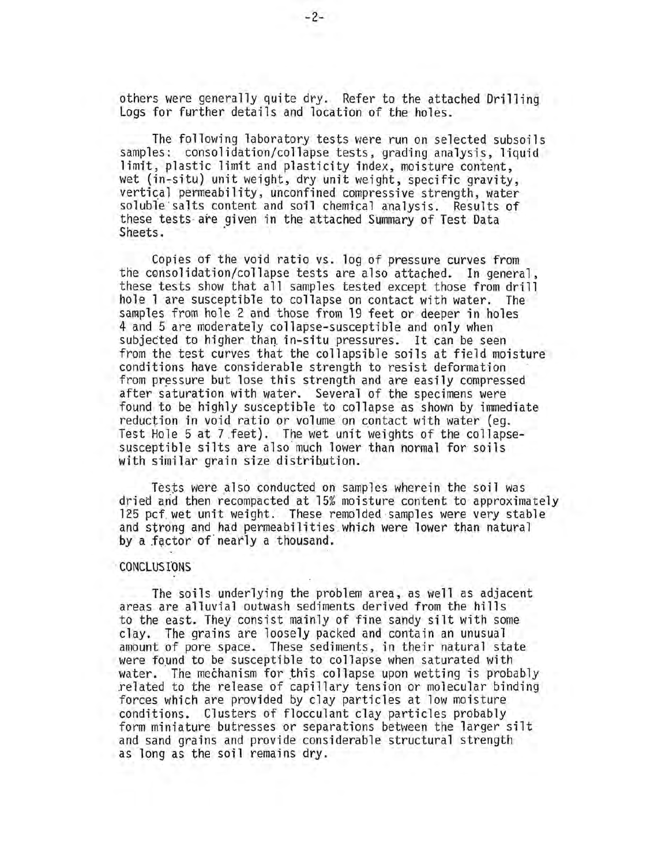others were generally quite dry. Refer to the attached Drilling Logs for further details and location of the holes.

The following laboratory tests were run on selected subsoils samples: consolidation/collapse tests, grading analysis, liquid limit, plastic limit and plasticity index, moisture content, wet (in-situ) unit weight, dry unit weight, specific gravity, vertical permeability, unconfined compressive strength, water soluble salts content and soil chemical analysis. Results of these tests· are given in the attached Summary of Test Data Sheets. .

Copies of the void ratio vs. log of pressure curves from the consolidation/collapse tests are also attached. In general, these tests show that all samples tested except those from drill hole 1 are susceptible to collapse on contact with water. The samples from hole 2 and those from 19 feet or deeper in holes 4 and 5 are moderately collapse-susceptible and only when subjected to higher than in-situ pressures. It can be seen from the test curves that the collapsible soils at field moisture conditions have considerable strength to resist deformation from pressure but lose this strength and are easily compressed after saturation with water. Several of the specimens were found to be highly susceptible to collapse as shown by immediate reduction in void ratio or volume on contact with water (eg. Test Hole 5 at 7 feet). The wet unit weights of the collapsesusceptible silts are also much lower than normal for soils with similar grain size distribution.

Tests were also conducted on samples wherein the soil was dried and then recompacted at 15% moisture content to approximately 125 pcf wet unit weight. These remolded samples were very stable and strong and had permeabilities.which were lower than natural by a factor of nearly a thousand.

## . CONCLUS faNS

The soils underlying the problem area, as well as adjacent areas are alluvial outwash sediments derived from the hills to the east. They consist mainly of fine sandy silt with some clay. The grains are loosely packed and contain an unusual amount of pore space. These sediments, in their natural state were found to be susceptible to collapse when saturated with water. The mechanism for this collapse upon wetting is probably related to the release of capillary tension or molecular binding forces which are provided by clay particles at low moisture conditions. Clusters of flocculant clay particles probably form miniature butresses or separations between the larger silt and sand grains and provide considerable structural strength as long as the soil remains dry.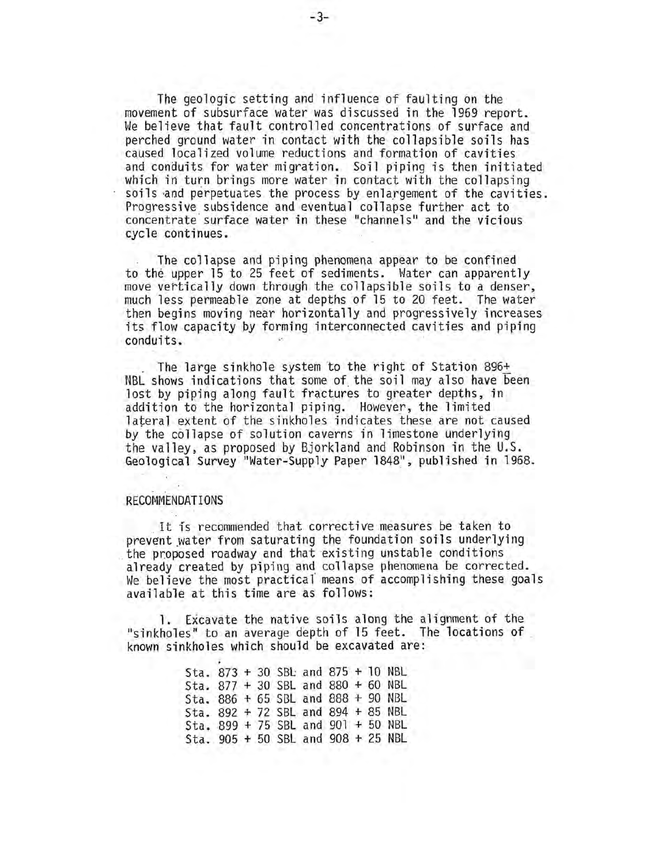The geologic setting and influence of faulting on the movement of subsurface water was discussed in the 1969 report. We believe that fault controlled concentrations of surface and perched ground water in contact with the collapsible soils has caused localized volume reductions and formation of cavities and conduits for water migration. Soil piping is then initiated which in turn brings more water in contact with the collapsing soils and perpetuates the process by enlargement of the cavities. Progressive subsidence and eventual collapse further act to concentrate surface water in these "channels" and the vicious cycle continues.

The collapse and piping phenomena appear to be confined to the upper 15 to 25 feet of sediments. Water can apparently move vertically down through the collapsible soils to a denser, much less permeable zone at depths of 15 to 20 feet. The water then begins moving near horizontally and progressively increases its flow capacity by forming interconnected cavities and piping conduits.

The large sinkhole system to the right of Station 896+ NBL shows indications that some of the soil may also have been lost by piping along fault fractures to greater depths, in addition to the horizontal piping. However, the limited lateral extent of the sinkholes indicates these are not caused by the collapse of solution caverns in limestone underlying the valley, as proposed by Bjorkland and Robinson in the U.S. Geological Survey "Water-Supply Paper 1848", published in 1968.

## RECOMMENDATIONS

It is recommended that corrective measures be taken to<br>prevent water from saturating the foundation soils underlying the proposed roadway and that existing unstable conditions already created by piping and collapse phenomena be corrected. We believe the most practical' means of accomplishing these goals available at this time are as follows:

1. Excavate the native soils along the alignment of the "sinkholes" to an average depth of 15 feet. The locations of known sinkholes which should be excavated are:

> Sta. 873 + 30 SBL and 875 + 10 NBL Sta. 877 + 30 SBL and 880 + 60 NBL Sta. 886 + 65 SBL and 888 + 90 NBL Sta. 892 + 72 SBL and 894 + 85 NBL Sta.  $899 + 75$  SBL and  $901 + 50$  NBL Sta. 905 + 50 SBL and 908 + 25 NBL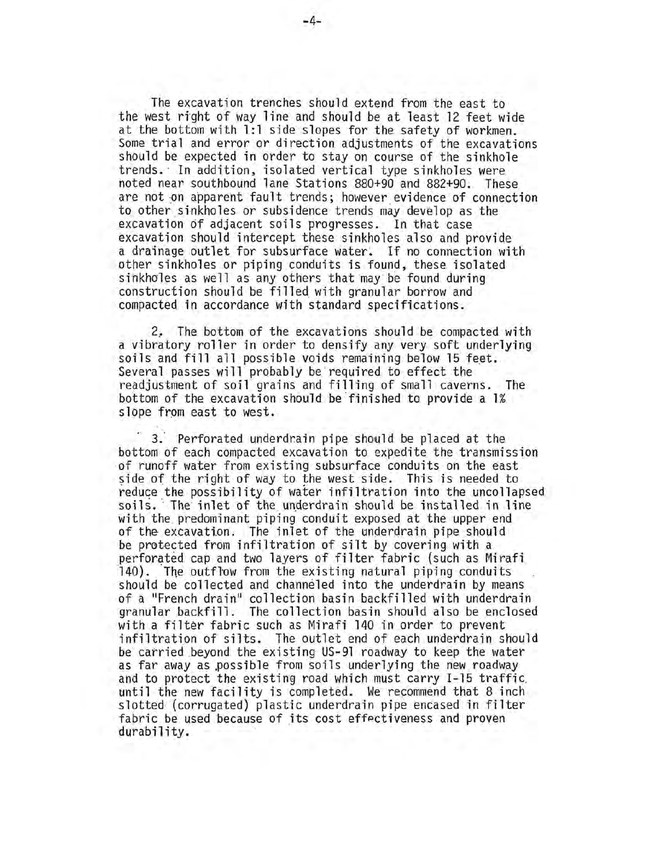The excavation trenches should extend from the east to the west right of way line and should be at least 12 feet wide at the bottom with 1:1 side slopes for the safety of workmen. Some trial and error or direction adjustments of the excavations should be expected in order to stay on course of the sinkhole trends. ' In addition, isolated vertical type sinkholes were noted near southbound lane Stations 880+90 and 882+90. These are not on apparent fault trends; however evidence of connection to other sinkholes or subsidence trends may develop as the excavation of adjacent soils progresses. In that case excavation should intercept these sinkholes also and provide a drainage outlet for subsurface water. If no connection with other sinkholes or piping conduits is found, these isolated sinkholes as well as any others that may be found during construction should be filled with granular borrow and compacted in accordance with standard specifications.

2, The bottom of the excavations should be compacted with a vibratory roller in order to densify any very soft underlying soils and fill all possible voids remaining below 15 feet. Several passes will probably be required to effect the readjustment of soil grains and filling of small caverns. The bottom of the excavation should be finished to provide a 1% slope from east to west.

3. Perforated underdrain pipe should be placed at the bottom of each compacted excavation to expedite the transmission of runoff water from existing subsurface conduits on the east side of the right of way to the west side. This is needed to reduce the possibility of water infiltration into the uncollapsed soils. The inlet of the underdrain should be installed in line with the predominant piping conduit exposed at the upper end of the excavation. The inlet of the underdrain pipe should be protected from infiltration of silt by covering with a perforated cap and two layers of filter fabric (such as Mirafi 140). The outflow from the existing natural piping conduits should be collected and channeled into the underdrain by means of a "French drain" collection basin backfilled with underdrain granular backfill. The collection basin should also be enclosed with a filter fabric such as Mirafi 140 in order to prevent infiltration of silts. The outlet end of each underdrain should be carried beyond the existing US-9l roadway to keep the water as far away as possible from soils underlying the new roadway<br>and to protect the existing road which must carry I-15 traffic until the new facility is completed. We recommend that 8 inch slotted (corrugated) plastic underdrain pipe encased in filter fabric be used because of its cost effectiveness and proven durability.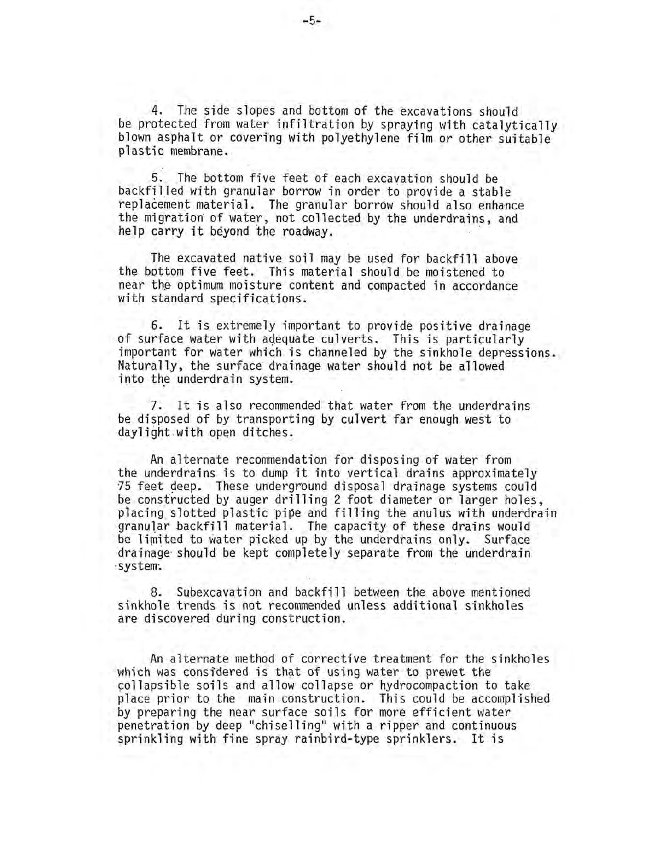*4. The* side slopes and bottom of the excavations should be protected from water infiltration by spraying with catalytically blown asphalt or covering with polyethylene film or other suitable plastic membrane.

S. The bottom five feet of each excavation should be backfilled with granular borrow in order to provide a stable replacement material. The granular borrow should also enhance the migration of water, not collected by the underdrains, and he 1 p carry it beyond the roadway.

The excavated native soil may be used for backfill above the bottom five feet. This material should be moistened to near the optimum moisture content and compacted in accordance with standard specifications.

6. It is extremely important to provide positive drainage of surface water with adequate culverts. This is particularly important for water which is channeled by the sinkhole depressions. Naturally, the surface drainage water should not be allowed into the underdrain system.

7. It is also recommended that water from the underdrains be disposed of by transporting by culvert far enough west to daylight with open ditches.

An alternate recommendation for disposing of water from the underdrains is to dump it into vertical drains approximately 75 feet deep. These underground disposal drainage systems could be constructed by auger drilling 2 foot diameter or larger holes, placing slotted plastic pipe and filling the anulus with underdrain granular backfill material. The capacity of these drains would<br>be limited to water picked up by the underdrains only. Surface drainage should be kept completely separate from the underdrain system.

8. Subexcavation and backfill between the above mentioned sinkhole trends is not recommended unless additional sinkholes are discovered during construction.

. An alternate method of corrective treatment for the sinkholes which was considered is that of using water to prewet the collapsible soils and allow collapse or hydrocompaction to take place prior to the main construction. This could be accomplished by preparing the near surface soils for more efficient water penetration by deep "chiselling" with a ripper and continuous sprinkling with fine spray rainbird-type sprinklers. It is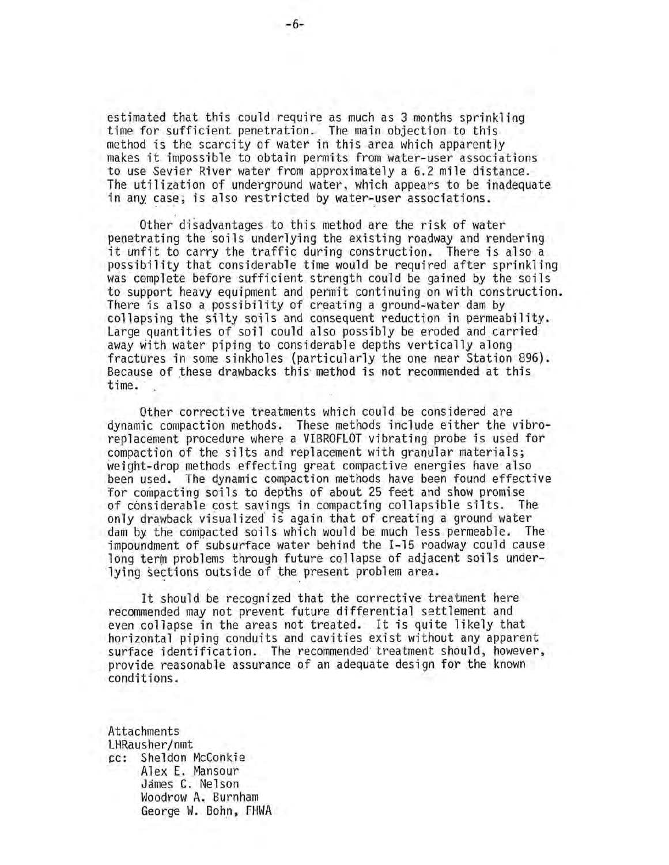estimated that this could require as much as 3 months sprinkling time for sufficient penetration. The main objection to this method is the scarcity of water in this area which apparently makes it impossible to obtain permits from water-user associations to use Sevier River water from approximately a 6.2 mile distance. The utilization of underground water, which appears to be inadequate in any case; is also restricted by water-user associations.

Other disadvantages to this method are the risk of water penetrating the soils underlying the existing roadway and rendering it unfit to carry the traffic during construction. There is also a possibility that considerable time would be required after sprinkling was c0mplete before sufficient strength could be gained by the soils to support heavy equipment and permit continuing on with construction. There is also a possibility of creating a ground-water dam by collapsing the silty soils and consequent reduction in permeability. Large quantities of soil could also possibly be eroded and carried away with water piping to considerable depths vertically along fractures in some sinkholes (particularly the one near Station 896). Because of these drawbacks this' method is not recommended at this time. '

Other corrective treatments which could be considered are dynamic compaction methods. These methods include either the vibroreplacement procedure where a VIBROFLOT vibrating probe is used for compaction of the silts and replacement with granular materials; weight-drop methods effecting great compactive energies have also been used. The dynamic compaction methods have been found effective for compacting soils to depths of about 25 feet and show promise of considerable cost savings in compacting collapsible silts. The only drawback visualized is again that of creating a ground water dam by the compacted soils which would be much less permeable. The impoundment of subsurface water behind the 1-15 roadway could cause long term problems through future collapse of adjacent soils under-<br>lying sections outside of the present problem area.

It should be recognized that the corrective treatment here recommended may not prevent future differential settlement and even collapse in the areas not treated. It is quite likely that horizontal piping conduits and cavities exist without any apparent surface identification. The recommended treatment should, however, provide reasonable assurance of an adequate design for the known cond it ions.

Attachments LHRausher/nmt cc: Sheldon McConkie Alex E. Mansour James C. Nelson Woodrow A. Burnham George W. Bohn, FHWA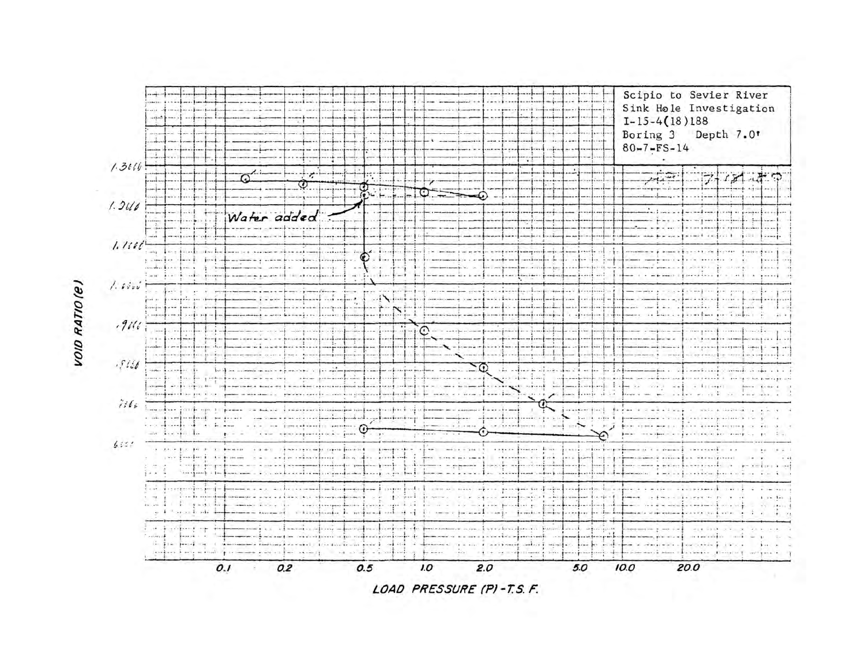

VOID RATIO(e)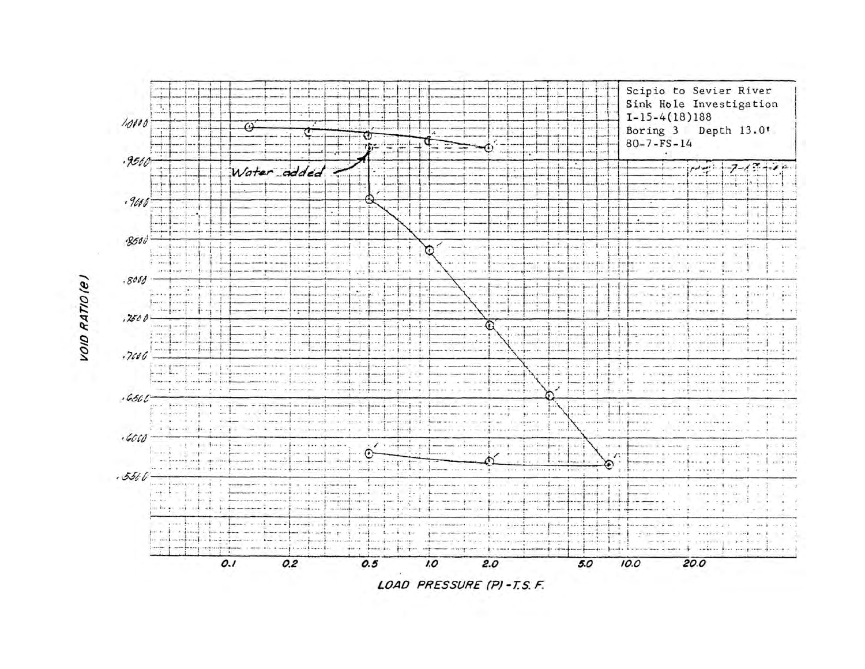

VOID RATIO (e)